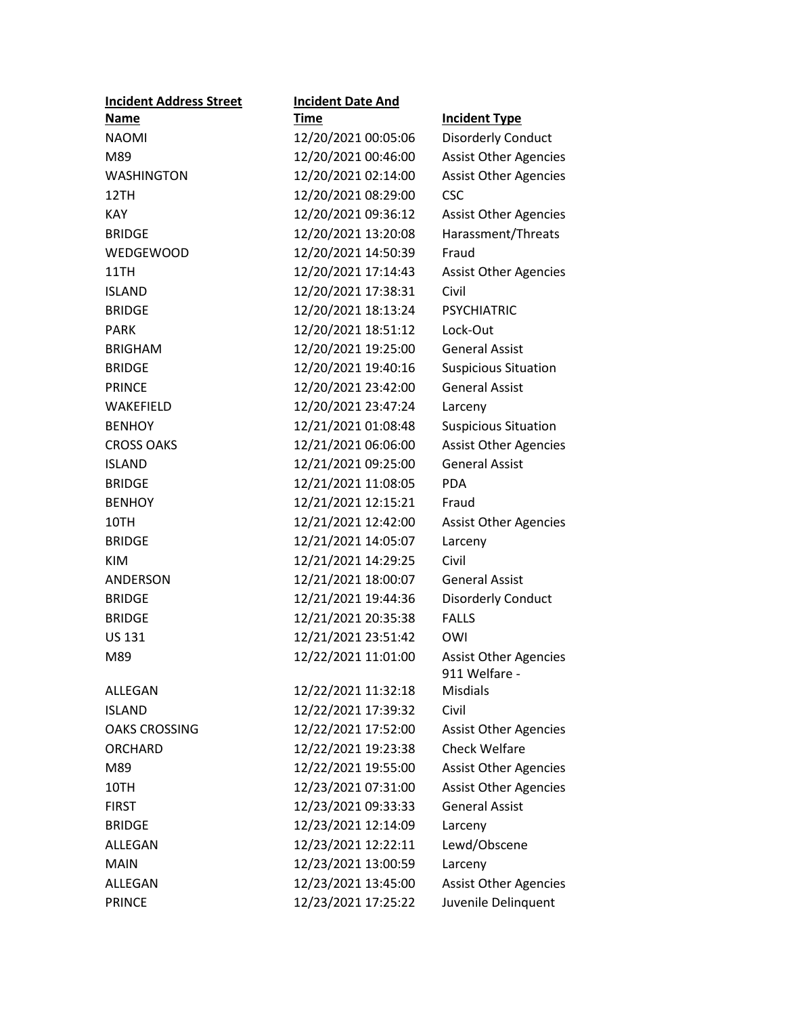| <b>Incident Address Street</b> | <b>Incident Date And</b> |                                               |
|--------------------------------|--------------------------|-----------------------------------------------|
| <u>Name</u>                    | <u>Time</u>              | <b>Incident Type</b>                          |
| <b>NAOMI</b>                   | 12/20/2021 00:05:06      | <b>Disorderly Conduct</b>                     |
| M89                            | 12/20/2021 00:46:00      | <b>Assist Other Agencies</b>                  |
| <b>WASHINGTON</b>              | 12/20/2021 02:14:00      | <b>Assist Other Agencies</b>                  |
| 12TH                           | 12/20/2021 08:29:00      | <b>CSC</b>                                    |
| <b>KAY</b>                     | 12/20/2021 09:36:12      | <b>Assist Other Agencies</b>                  |
| <b>BRIDGE</b>                  | 12/20/2021 13:20:08      | Harassment/Threats                            |
| <b>WEDGEWOOD</b>               | 12/20/2021 14:50:39      | Fraud                                         |
| 11TH                           | 12/20/2021 17:14:43      | <b>Assist Other Agencies</b>                  |
| <b>ISLAND</b>                  | 12/20/2021 17:38:31      | Civil                                         |
| <b>BRIDGE</b>                  | 12/20/2021 18:13:24      | <b>PSYCHIATRIC</b>                            |
| <b>PARK</b>                    | 12/20/2021 18:51:12      | Lock-Out                                      |
| <b>BRIGHAM</b>                 | 12/20/2021 19:25:00      | <b>General Assist</b>                         |
| <b>BRIDGE</b>                  | 12/20/2021 19:40:16      | <b>Suspicious Situation</b>                   |
| <b>PRINCE</b>                  | 12/20/2021 23:42:00      | <b>General Assist</b>                         |
| WAKEFIELD                      | 12/20/2021 23:47:24      | Larceny                                       |
| <b>BENHOY</b>                  | 12/21/2021 01:08:48      | <b>Suspicious Situation</b>                   |
| <b>CROSS OAKS</b>              | 12/21/2021 06:06:00      | <b>Assist Other Agencies</b>                  |
| <b>ISLAND</b>                  | 12/21/2021 09:25:00      | <b>General Assist</b>                         |
| <b>BRIDGE</b>                  | 12/21/2021 11:08:05      | <b>PDA</b>                                    |
| <b>BENHOY</b>                  | 12/21/2021 12:15:21      | Fraud                                         |
| 10TH                           | 12/21/2021 12:42:00      | <b>Assist Other Agencies</b>                  |
| <b>BRIDGE</b>                  | 12/21/2021 14:05:07      | Larceny                                       |
| <b>KIM</b>                     | 12/21/2021 14:29:25      | Civil                                         |
| <b>ANDERSON</b>                | 12/21/2021 18:00:07      | <b>General Assist</b>                         |
| <b>BRIDGE</b>                  | 12/21/2021 19:44:36      | <b>Disorderly Conduct</b>                     |
| <b>BRIDGE</b>                  | 12/21/2021 20:35:38      | <b>FALLS</b>                                  |
| <b>US 131</b>                  | 12/21/2021 23:51:42      | OWI                                           |
| M89                            | 12/22/2021 11:01:00      | <b>Assist Other Agencies</b><br>911 Welfare - |
| ALLEGAN                        | 12/22/2021 11:32:18      | <b>Misdials</b>                               |
| <b>ISLAND</b>                  | 12/22/2021 17:39:32      | Civil                                         |
| <b>OAKS CROSSING</b>           | 12/22/2021 17:52:00      | <b>Assist Other Agencies</b>                  |
| <b>ORCHARD</b>                 | 12/22/2021 19:23:38      | <b>Check Welfare</b>                          |
| M89                            | 12/22/2021 19:55:00      | <b>Assist Other Agencies</b>                  |
| 10TH                           | 12/23/2021 07:31:00      | <b>Assist Other Agencies</b>                  |
| <b>FIRST</b>                   | 12/23/2021 09:33:33      | <b>General Assist</b>                         |
| <b>BRIDGE</b>                  | 12/23/2021 12:14:09      | Larceny                                       |
| ALLEGAN                        | 12/23/2021 12:22:11      | Lewd/Obscene                                  |
| <b>MAIN</b>                    | 12/23/2021 13:00:59      | Larceny                                       |
| ALLEGAN                        | 12/23/2021 13:45:00      | <b>Assist Other Agencies</b>                  |
| <b>PRINCE</b>                  | 12/23/2021 17:25:22      | Juvenile Delinquent                           |